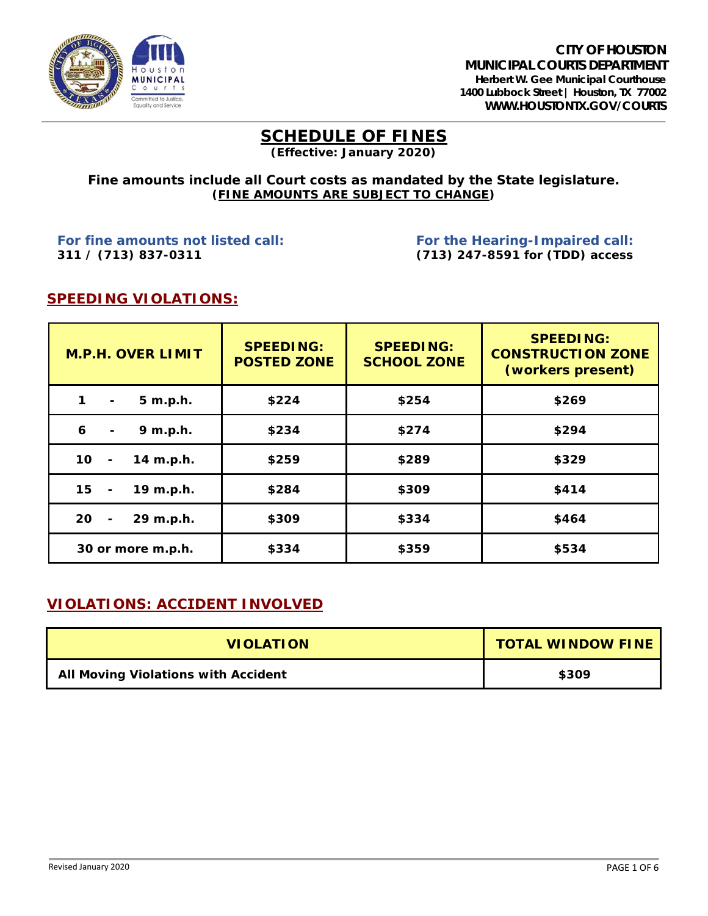

### **SCHEDULE OF FINES (Effective: January 2020)**

#### **Fine amounts include all Court costs as mandated by the State legislature. (***FINE AMOUNTS ARE SUBJECT TO CHANGE***)**

*For fine amounts not listed call: For the Hearing-Impaired call:* **311 / (713) 837-0311 (713) 247-8591 for (TDD) access**

### **SPEEDING VIOLATIONS:**

| <b>M.P.H. OVER LIMIT</b>          | <b>SPEEDING:</b><br><b>POSTED ZONE</b> | <b>SPEEDING:</b><br><b>SCHOOL ZONE</b> | <b>SPEEDING:</b><br><b>CONSTRUCTION ZONE</b><br>(workers present) |
|-----------------------------------|----------------------------------------|----------------------------------------|-------------------------------------------------------------------|
| 5 m.p.h.<br>1<br>$\blacksquare$   | \$224                                  | \$254                                  | \$269                                                             |
| 6<br>9 m.p.h.<br>$\blacksquare$   | \$234                                  | \$274                                  | \$294                                                             |
| 10<br>14 m.p.h.<br>$\blacksquare$ | \$259                                  | \$289                                  | \$329                                                             |
| 15<br>19 m.p.h.<br>$\blacksquare$ | \$284                                  | \$309                                  | \$414                                                             |
| 20<br>29 m.p.h.                   | \$309                                  | \$334                                  | \$464                                                             |
| 30 or more m.p.h.                 | \$334                                  | \$359                                  | \$534                                                             |

### **VIOLATIONS: ACCIDENT INVOLVED**

| <b>VIOLATION</b>                           | <b>TOTAL WINDOW FINE</b> |
|--------------------------------------------|--------------------------|
| <b>All Moving Violations with Accident</b> | \$309                    |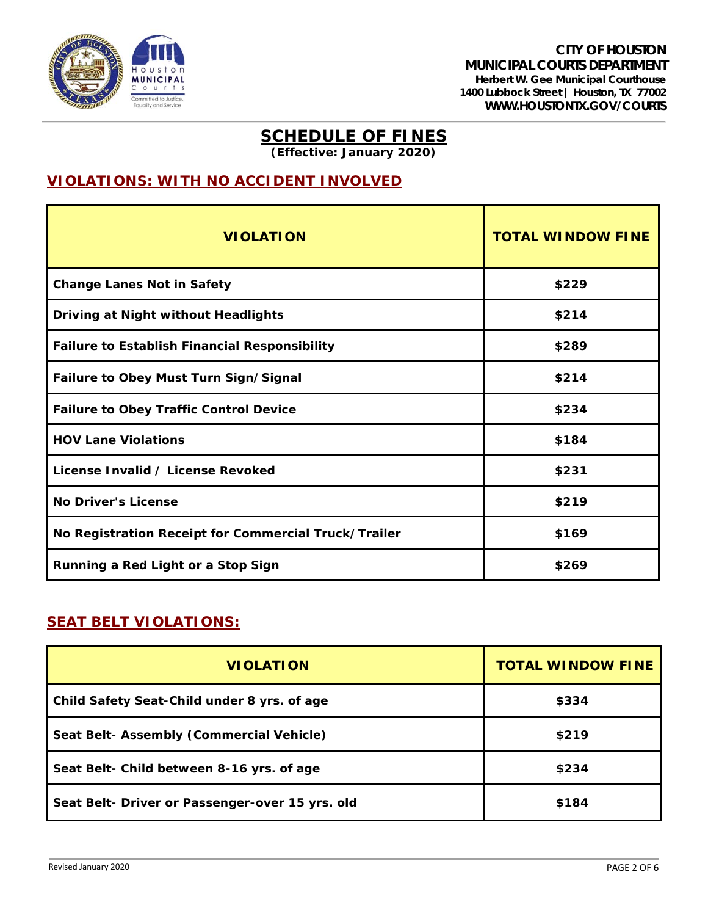

**(Effective: January 2020)**

# **VIOLATIONS: WITH NO ACCIDENT INVOLVED**

| <b>VIOLATION</b>                                     | <b>TOTAL WINDOW FINE</b> |
|------------------------------------------------------|--------------------------|
| <b>Change Lanes Not in Safety</b>                    | \$229                    |
| Driving at Night without Headlights                  | \$214                    |
| <b>Failure to Establish Financial Responsibility</b> | \$289                    |
| Failure to Obey Must Turn Sign/Signal                | \$214                    |
| <b>Failure to Obey Traffic Control Device</b>        | \$234                    |
| <b>HOV Lane Violations</b>                           | \$184                    |
| License Invalid / License Revoked                    | \$231                    |
| <b>No Driver's License</b>                           | \$219                    |
| No Registration Receipt for Commercial Truck/Trailer | \$169                    |
| Running a Red Light or a Stop Sign                   | \$269                    |

### **SEAT BELT VIOLATIONS:**

| <b>VIOLATION</b>                                | <b>TOTAL WINDOW FINE</b> |
|-------------------------------------------------|--------------------------|
| Child Safety Seat-Child under 8 yrs. of age     | \$334                    |
| Seat Belt- Assembly (Commercial Vehicle)        | \$219                    |
| Seat Belt- Child between 8-16 yrs. of age       | \$234                    |
| Seat Belt- Driver or Passenger-over 15 yrs. old | \$184                    |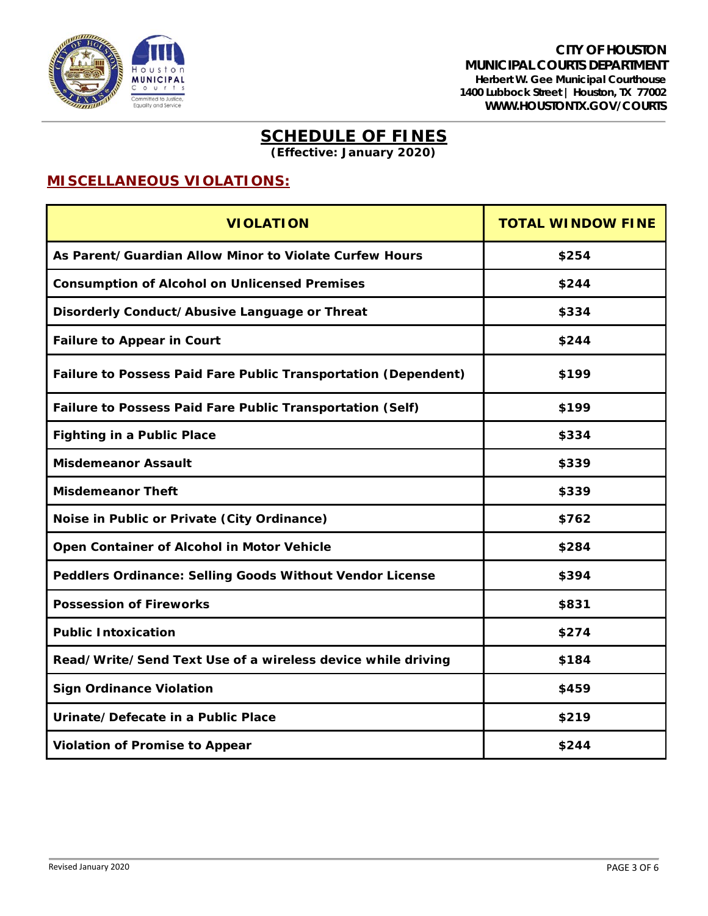

**(Effective: January 2020)**

## **MISCELLANEOUS VIOLATIONS:**

| <b>VIOLATION</b>                                                      | <b>TOTAL WINDOW FINE</b> |
|-----------------------------------------------------------------------|--------------------------|
| As Parent/Guardian Allow Minor to Violate Curfew Hours                | \$254                    |
| <b>Consumption of Alcohol on Unlicensed Premises</b>                  | \$244                    |
| Disorderly Conduct/Abusive Language or Threat                         | \$334                    |
| <b>Failure to Appear in Court</b>                                     | \$244                    |
| <b>Failure to Possess Paid Fare Public Transportation (Dependent)</b> | \$199                    |
| Failure to Possess Paid Fare Public Transportation (Self)             | \$199                    |
| <b>Fighting in a Public Place</b>                                     | \$334                    |
| <b>Misdemeanor Assault</b>                                            | \$339                    |
| <b>Misdemeanor Theft</b>                                              | \$339                    |
| Noise in Public or Private (City Ordinance)                           | \$762                    |
| Open Container of Alcohol in Motor Vehicle                            | \$284                    |
| Peddlers Ordinance: Selling Goods Without Vendor License              | \$394                    |
| <b>Possession of Fireworks</b>                                        | \$831                    |
| <b>Public Intoxication</b>                                            | \$274                    |
| Read/Write/Send Text Use of a wireless device while driving           | \$184                    |
| <b>Sign Ordinance Violation</b>                                       | \$459                    |
| Urinate/Defecate in a Public Place                                    | \$219                    |
| <b>Violation of Promise to Appear</b>                                 | \$244                    |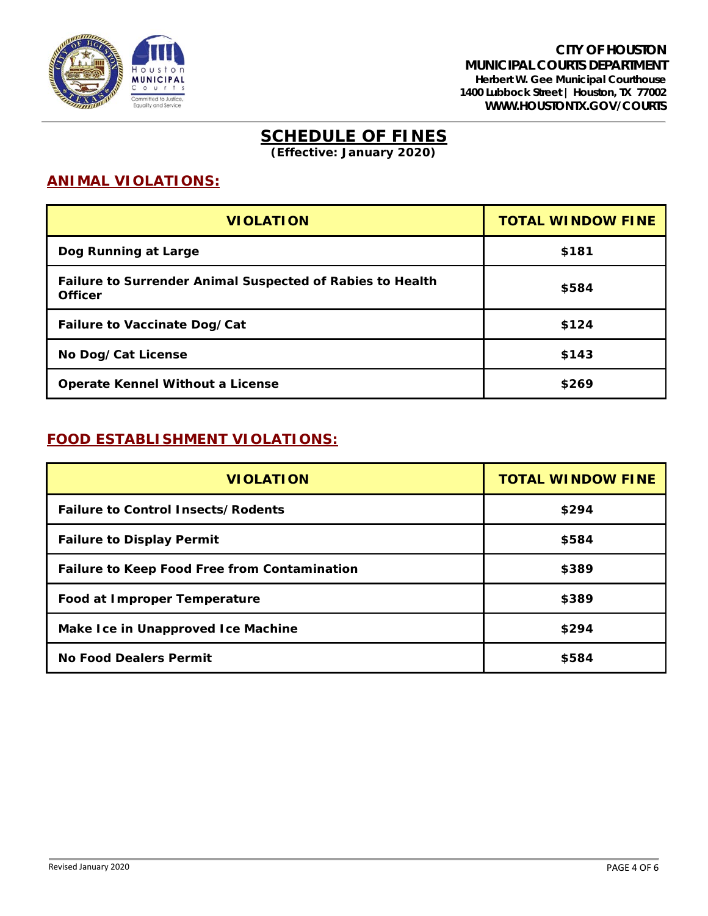

**(Effective: January 2020)**

### **ANIMAL VIOLATIONS:**

| <b>VIOLATION</b>                                                                   | <b>TOTAL WINDOW FINE</b> |
|------------------------------------------------------------------------------------|--------------------------|
| Dog Running at Large                                                               | \$181                    |
| <b>Failure to Surrender Animal Suspected of Rabies to Health</b><br><b>Officer</b> | \$584                    |
| <b>Failure to Vaccinate Dog/Cat</b>                                                | \$124                    |
| No Dog/Cat License                                                                 | \$143                    |
| <b>Operate Kennel Without a License</b>                                            | \$269                    |

### **FOOD ESTABLISHMENT VIOLATIONS:**

| <b>VIOLATION</b>                                    | <b>TOTAL WINDOW FINE</b> |
|-----------------------------------------------------|--------------------------|
| <b>Failure to Control Insects/Rodents</b>           | \$294                    |
| <b>Failure to Display Permit</b>                    | \$584                    |
| <b>Failure to Keep Food Free from Contamination</b> | \$389                    |
| Food at Improper Temperature                        | \$389                    |
| Make Ice in Unapproved Ice Machine                  | \$294                    |
| <b>No Food Dealers Permit</b>                       | \$584                    |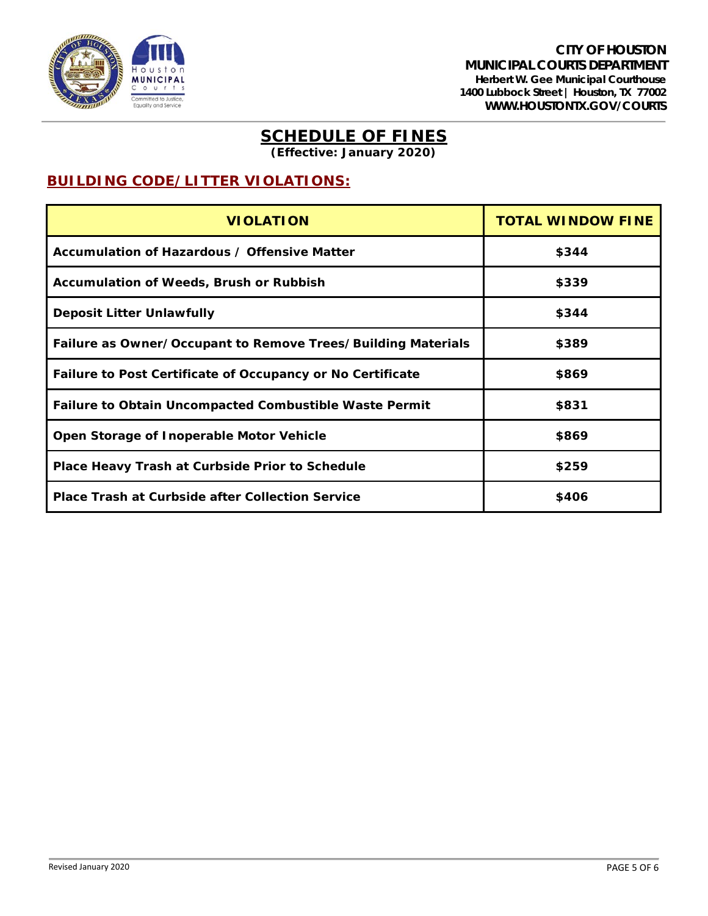

**(Effective: January 2020)**

## **BUILDING CODE/LITTER VIOLATIONS:**

| <b>VIOLATION</b>                                              | <b>TOTAL WINDOW FINE</b> |
|---------------------------------------------------------------|--------------------------|
| Accumulation of Hazardous / Offensive Matter                  | \$344                    |
| <b>Accumulation of Weeds, Brush or Rubbish</b>                | \$339                    |
| <b>Deposit Litter Unlawfully</b>                              | \$344                    |
| Failure as Owner/Occupant to Remove Trees/Building Materials  | \$389                    |
| Failure to Post Certificate of Occupancy or No Certificate    | \$869                    |
| <b>Failure to Obtain Uncompacted Combustible Waste Permit</b> | \$831                    |
| Open Storage of Inoperable Motor Vehicle                      | \$869                    |
| Place Heavy Trash at Curbside Prior to Schedule               | \$259                    |
| <b>Place Trash at Curbside after Collection Service</b>       | \$406                    |